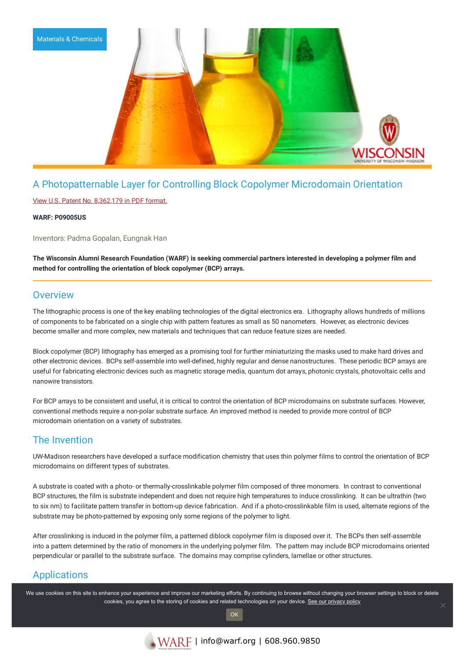

# A Photopatternable Layer for Controlling Block Copolymer Microdomain Orientation

### View U.S. Patent No. [8,362,179](https://www.warf.org/wp-content/uploads/technologies/ipstatus/P09005US.PDF) in PDF format.

### **WARF: P09005US**

Inventors: Padma Gopalan, Eungnak Han

The Wisconsin Alumni Research Foundation (WARF) is seeking commercial partners interested in developing a polymer film and **method for controlling the orientation of block copolymer (BCP) arrays.**

## **Overview**

The lithographic process is one of the key enabling technologies of the digital electronics era. Lithography allows hundreds of millions of components to be fabricated on a single chip with pattern features as small as 50 nanometers. However, as electronic devices become smaller and more complex, new materials and techniques that can reduce feature sizes are needed.

Block copolymer (BCP) lithography has emerged as a promising tool for further miniaturizing the masks used to make hard drives and other electronic devices. BCPs self-assemble into well-defined, highly regular and dense nanostructures. These periodic BCP arrays are useful for fabricating electronic devices such as magnetic storage media, quantum dot arrays, photonic crystals, photovoltaic cells and nanowire transistors.

For BCP arrays to be consistent and useful, it is critical to control the orientation of BCP microdomains on substrate surfaces. However, conventional methods require a non-polar substrate surface. An improved method is needed to provide more control of BCP microdomain orientation on a variety of substrates.

# The Invention

UW-Madison researchers have developed a surface modification chemistry that uses thin polymer films to control the orientation of BCP microdomains on different types of substrates.

A substrate is coated with a photo- or thermally-crosslinkable polymer film composed of three monomers. In contrast to conventional BCP structures, the film is substrate independent and does not require high temperatures to induce crosslinking. It can be ultrathin (two to six nm) to facilitate pattern transfer in bottom-up device fabrication. And if a photo-crosslinkable film is used, alternate regions of the substrate may be photo-patterned by exposing only some regions of the polymer to light.

After crosslinking is induced in the polymer film, a patterned diblock copolymer film is disposed over it. The BCPs then self-assemble into a pattern determined by the ratio of monomers in the underlying polymer film. The pattern may include BCP microdomains oriented perpendicular or parallel to the substrate surface. The domains may comprise cylinders, lamellae or other structures.

# Applications

We use cookies on this site to enhance your experience and improve our marketing efforts. By continuing to browse without changing your browser settings to block or delete cookies, you agree to the storing of cookies and related technologies on your device. [See our privacy policy](https://www.warf.org/privacy-policy/)